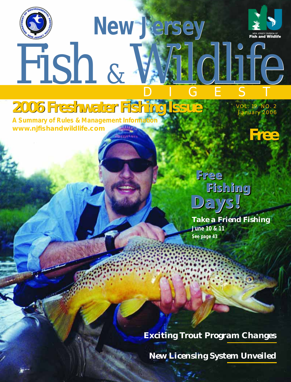



Fish & Wildlife **2006 Freshwater Fishing Issue Freshwater Fishing IssueA Summary of Rules & Management Information**

**New Jersey New Jersey**

VOL. 19 NO. 2 January 2006



# **Days! Days! Days! Free Free Free Fishing Fishing Fishing**

*Take a Friend Fishing* **June 10 & 11 See page 43**

*Exciting Trout Program Changes*

*New Licensing System Unveiled*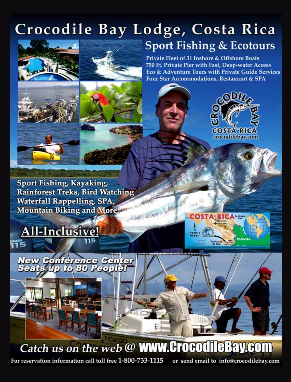# Crocodile Bay Lodge, Costa Rica **Sport Fishing & Ecotours**





Private Fleet of 31 Inshore & Offshore Boats 750 Ft. Private Pier with Fast, Deep-water Access Eco & Adventure Tours with Private Guide Services Four Star Accommodations, Restaurant & SPA







Sport Fishing, Kayaking, **Rainforest Treks, Bird Watching Waterfall Rappelling, SPA, Mountain Biking and More!** 







Catch us on the web @ WWW.CrocodileBay.com

For reservation information call toll free 1-800-733-1115

or send email to info@crocodilebay.com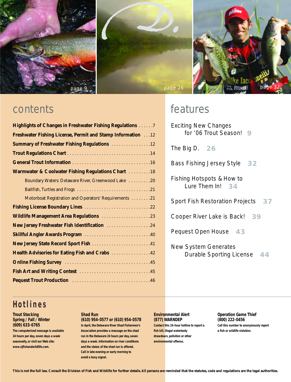

page 9 page 26 page 26 page 26 page 32 D.



| <b>Highlights of Changes in Freshwater Fishing Regulations 7</b>   |
|--------------------------------------------------------------------|
| <b>Freshwater Fishing License, Permit and Stamp Information</b> 12 |
| <b>Summary of Freshwater Fishing Regulations 12</b>                |
|                                                                    |
|                                                                    |
| Warmwater & Coolwater Fishing Regulations Chart  18                |
| Boundary Waters: Delaware River, Greenwood Lake 20                 |
|                                                                    |
| Motorboat Registration and Operators' Requirements 21              |
| Fishing License Boundary Lines 22                                  |
| Wildlife Management Area Regulations 23                            |
| New Jersey Freshwater Fish Identification 24                       |
| Skillful Angler Awards Program 40                                  |
| New Jersey State Record Sport Fish 41                              |
| Health Advisories for Eating Fish and Crabs  42                    |
|                                                                    |
|                                                                    |
|                                                                    |

## contents features

Exciting New Changes for '06 Trout Season! **9**

The Big D. **26**

Bass Fishing Jersey Style **32**

Fishing Hotspots & How to Lure Them In! **34**

Sport Fish Restoration Projects **37**

Cooper River Lake is Back! **39**

Pequest Open House **43**

New System Generates Durable Sporting License **44**

### **Hotlines**

### **Trout Stocking Spring / Fall / Winter (609) 633-6765 The computerized message is available 24 hours per day, seven days a week seasonally, or visit our Web site:**

**www.njfishandwildlife.com.**

### **Shad Run**

**(610) 954-0577 or (610) 954-0578 In April, the Delaware River Shad Fishermen's Association provides a message on the shad run in the Delaware 24 hours per day, seven days a week. Information on river conditions and the status of the shad run is offered. Call in late evening or early morning to avoid a busy signal.**

### **Environmental Alert (877) WARNDEP**

**Contact this 24-hour hotline to report a fish kill, illegal waterbody drawdown, pollution or other environmental offense.**

**Operation Game Thief (800) 222-0456 Call this number to anonymously report a fish or wildlife violation.**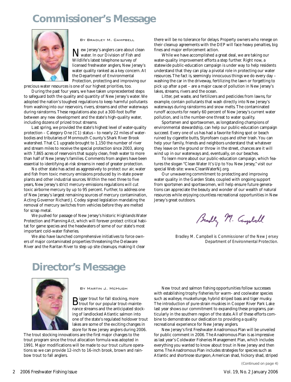### **Commissioner's Message**



By Bradley M. Campbell

New Jersey's anglers care about clean water. In our Division of Fish and Wildlife's latest telephone survey of licensed freshwater anglers, New Jersey's water quality ranked as a key concern. At the Department of Environmental Protection, protecting and improving our

precious water resources is one of our highest priorities, too.

During the past four years, we have taken unprecedented steps to safeguard both the quality and quantity of New Jersey's water. We adopted the nation's toughest regulations to keep harmful pollutants from washing into our reservoirs, rivers, streams and other waterways during rainstorms. These regulations also put a 300-foot buffer between any new development and the state's high-quality water, including dozens of prized trout streams.

Last spring, we provided the state's highest level of water-quality protection – Category One (C1) status – to nearly 22 miles of waterbodies and tributaries of Monmouth County's Shark River Brook watershed. That C1 upgrade brought to 1,150 the number of river and stream miles to receive the special protection since 2003, along with 7,865 acres of reservoirs that supply clean, fresh water to more than half of New Jersey's families. Comments from anglers have been essential to identifying at-risk streams in need of greater protection.

No other state has acted as aggressively to protect our air, water and fish from toxic mercury emissions produced by in-state power plants and other industrial sources. Within the next three to five years, New Jersey's strict mercury-emissions regulations will cut toxic airborne mercury by up to 95 percent. Further, to address one of New Jersey's largest remaining sources of mercury contamination, Acting Governor Richard J. Codey signed legislation mandating the removal of mercury switches from vehicles before they are melted for scrap metal.

We pushed for passage of New Jersey's historic Highlands Water Protection and Planning Act, which will forever protect critical habitat for game species and the headwaters of some of our state's most important cold-water fisheries.

We also have launched comprehensive initiatives to force owners of major contaminated properties threatening the Delaware River and the Raritan River to step up site cleanups, making it clear there will be no tolerance for delays. Property owners who renege on their cleanup agreements with the DEP will face heavy penalties, big fines and major enforcement action.

While we have accomplished a great deal, we are taking our water-quality improvement efforts a step further. Right now, a statewide public-education campaign is under way to help residents understand that they can play a pivotal role in protecting our water resources. The fact is, seemingly innocuous things we do every day – washing the car in the driveway, fertilizing the lawn or forgetting to pick up after a pet – are a major cause of pollution in New Jersey's lakes, streams, rivers and the ocean.

Litter, pet waste, and fertilizers and pesticides from lawns, for example, contain pollutants that wash directly into New Jersey's waterways during rainstorms and snow melts. The contaminated runoff accounts for nearly 60 percent of New Jersey's current water pollution, and is the number-one threat to water quality.

Sportsmen and sportswomen, as longstanding champions of environmental stewardship, can help our public-education campaign succeed. Every one of us has had a favorite fishing spot or beach ruined by cigarette butts, Styrofoam cups and other trash. You can help your family, friends and neighbors understand that whatever they leave on the ground or throw in the street, chances are it will wind up in our waterways and, eventually, on our beaches.

To learn more about our public-education campaign, which features the slogan "Clean Water It's Up to You New Jersey," visit our special Web site: www.CleanWaterNJ.org.

Our unwavering commitment to protecting and improving water quality in the Garden State, coupled with ongoing support from sportsmen and sportswomen, will help ensure future generations can appreciate the beauty and wonder of our wealth of natural resources while enjoying countless recreational opportunities in New Jersey's great outdoors.

Bradly M. Campbell

Bradley M. Campbell is Commissioner of the New Jersey Department of Environmental Protection.

### **Director's Message**



By Martin J. McHugh

 ${\bf B}$ igger trout for fall stocking, more for our popular trout-maintenance streams and the anticipated stocking of landlocked Atlantic salmon into one of the state's regulated holdover trout lakes are some of the exciting changes in store for New Jersey anglers during 2006.

The trout stocking innovations are the first major changes to the trout program since the trout allocation formula was adopted in 1991. Major modifications will be made to our trout culture operations so we can provide 12-inch to 16-inch brook, brown and rainbow trout to fall anglers.

New trout and salmon fishing opportunities follow successes with establishing trophy fisheries for warm- and coolwater species such as walleye, muskellunge, hybrid striped bass and tiger musky. The introduction of pure-strain muskies in Cooper River Park Lake last year shows our commitment to expanding these programs, particularly in the southern region of the state. All of these efforts combine to demonstrate our dedication to providing a quality recreational experience for New Jersey anglers.

New Jersey's first Freshwater Anadromous Plan will be unveiled for public comment in 2006. The Anadromous Plan is as impressive as last year's Coldwater Fisheries Management Plan, which includes everything you wanted to know about trout in New Jersey and then some. The Anadromous Plan includes strategies for species such as Atlantic and shortnose sturgeon, American shad, hickory shad, striped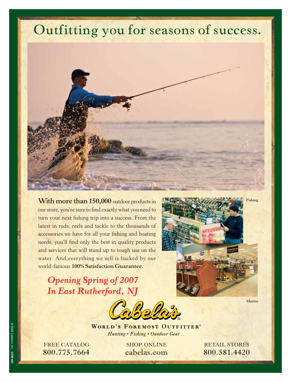# **Outfitting you for seasons of success.**



With more than 150,000 outdoor products in our store, you're sure to find exactly what you need to turn your next fishing trip into a success. From the latest in rods, reels and tackle to the thousands of accessories we have for all your fishing and boating needs, you'll find only the best in quality products and services that will stand up to tough use on the water. And,everything we sell is backed by our world-famous **100% Satisfaction Guarantee.**

*Opening Spring of 2007 In East Rutherford, NJ*



**WORLD'S FOREMOST OUTFITTER®** Hunting • Fishing • Outdoor Gear

**FREE CATALOG**  $\frac{1}{2}$ **800.756.7664** 

**SHOP ONLINE** cabelas.com **cabelas.com**  **RETAIL STORES 800.581.4420**

**Fishing**

 $Fichino$ 

© 2006 Cabela's, Inc. 2006 Cabela's, Inc. CCW-60 **CCW-601**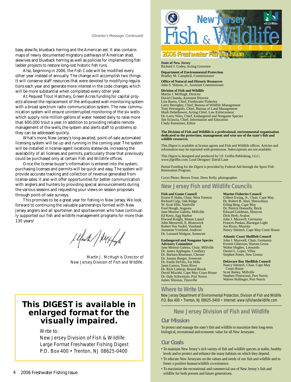#### *(Director's Message, Continued)*

bass, alewife, blueback herring and the American eel. It also contains maps of newly documented migratory pathways of American shad, alewives and blueback herring as well as policies for implementing fish ladder projects to restore long-lost historic fish runs.

Also, beginning in 2006, the Fish Code will be modified every other year instead of annually. The change will accomplish two things: It will conserve staff resources that were devoted to modifying regulations each year and generate more interest in the code changes, which will be more substantial when completed every other year.

At Pequest Trout Hatchery, Green Acres funding for capital projects allowed the replacement of the antiquated well-monitoring system with a broad spectrum radio communication system. The new communication system will ensure uninterrupted monitoring of the six wells which supply nine million gallons of water needed daily to raise more than 600,000 trout a year. In addition to providing reliable remote management of the wells, the system also alerts staff to problems so they can be addressed quickly.

What's more, New Jersey's long-awaited, point-of-sale automated licensing system will be up and running in the coming year. The system will be installed in license-agent locations statewide, increasing the availability of all licenses and permits, particularly those that previously could be purchased only at certain Fish and Wildlife offices.

Once the license-buyer's information is entered into the system, purchasing licenses and permits will be quick and easy. The system will provide accurate tracking and collection of revenue generated from license sales. It also will offer opportunities for better communication with anglers and hunters by providing special announcements during the various seasons and requesting your views on season proposals through point-of-sale surveys.

This promises to be a great year for fishing in New Jersey. We look forward to continuing the valuable partnerships formed with New Jersey anglers and all sportsmen and sportswomen who have continually supported our fish and wildlife management programs for more than 130 years!

Ulauth/Witfoy

Martin J. McHugh is Director of New Jersey Division of Fish and Wildlife.

### **This DIGEST is available in enlarged format for the visually impaired.**

Write to:

New Jersey Division of Fish & Wildlife Large Format Freshwater Fishing Digest P.O. Box 400 • Trenton, NJ 08625-0400



#### **2006 Freshwater Fishing Is** VOL. 19 NO. 2 January 2006

**State of New Jersey** Richard J. Codey, Acting Governor

**Department of Environmental Protection** Bradley M. Campbell, Commissioner

**Office of Natural and Historic Resources** John S. Watson, Jr., Assistant Commissioner

**Division of Fish and Wildlife** Martin J. McHugh, Director David Chanda, Assistant Director Lisa Barno, Chief, Freshwater Fisheries Larry Herrighty, Chief, Bureau of Wildlife Management Tony Petrongolo, Chief, Bureau of Land Management Mark Dobelbower, Acting Chief, Law Enforcement Dr. Larry Niles, Chief, Endangered and Nongame Species Jim Sciascia, Chief, Information and Education Cindy Kuenstner, Editor

**The Division of Fish and Wildlife is a professional, environmental organization dedicated to the protection, management and wise use of the state's fish and wildlife resources.**

This *Digest* is available at license agents and Fish and Wildlife offices. Articles and information may be reprinted with permission. Subscriptions are not available.

This *Digest* is designed and produced by J.F. Griffin Publishing, LLC; www.jfgriffin.com; Lead Designer: David Lane

Partial Funding for the *Digest* is provided by Federal Aid through the Sport Fish Restoration Program.

Cover Photo: Brown Trout. Drew Kelly, photographer.

### **New Jersey Fish and Wildlife Councils**

**Fish and Game Council** Ernest P. Hahn, Chair, West Trenton Richard Culp, Oak Ridge W. Scott Ellis, Yardville Fred Hough, Augusta Jane Morton Galetto, Millville Ed Kertz, Egg Harbor Elwood Knight, Mount Laurel John Messeroll, E. Brunswick Robert Von Suskil, Vineland Jeannette Vreeland, Andover Dr. Leonard Wolgast, Somerset

**Endangered and Nongame Species**

**Advisory Committee** Jane Morton Galetto, Chair, Millville Dr. James Applegate, Cranbury Dr. Barbara Brummer, Chester Dr. Joanna Burger, Somerset Dr. Emile DeVito, Far Hills Janet Larson, Toms River Dr. Rick Lathrop, Bound Brook David Mizrahi, Cape May Court House Dr. Dale Schweitzer, Port Norris James Shissias, Titusville

**Marine Fisheries Council** Gilbert Ewing, Jr., Chair, Cape May Dr. Robert B. Abel, Shrewsbury Erling Berg, Cape May Dr. Patrick Donnelly, Brick Edward Goldman, Absecon Dick Herb, Avalon John J. Maxwell, Germania Frances Puskas, Barnegat Light Joe Rizzo, Mayetta Nancy Sittineri, Cape May Court House

**Atlantic Coast Shellfish Council** John J. Maxwell, Chair, Germania Everett Giberson, Warren Grove Walter Hughes, Leonardo Daniel L. Loper, Villas Stephen Potter, New Gretna

**Delaware Bay Shellfish Council** Nancy Sittineri, Chair, Cape May Court House Scott Bailey, Millville Stephen Fleetwood, Port Norris Warren Hollinger, Port Norris

### **Where to Write Us**

New Jersey Department of Environmental Protection, Division of Fish and Wildlife P.O. Box 400 • Trenton, NJ 08625-0400 • Internet: www.njfishandwildlife.com

### **New Jersey Division of Fish and Wildlife**

#### **Our Mission**

To protect and manage the state's fish and wildlife to maximize their long-term biological, recreational and economic value for all New Jerseyans.

### **Our Goals**

- To maintain New Jersey's rich variety of fish and wildlife species at stable, healthy levels and to protect and enhance the many habitats on which they depend.
- To educate New Jerseyans on the values and needs of our fish and wildlife and to foster a positive human/wildlife co-existence.
- To maximize the recreational and commercial use of New Jersey's fish and wildlife for both present and future generations.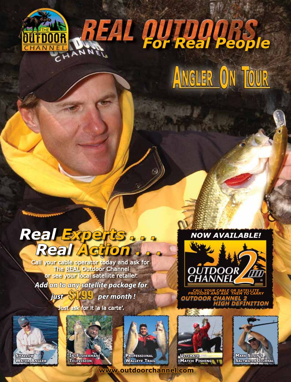



# Real Experts . . .<br>A Real Action

Call your cable operator today and ask for<br>The <u>REAL</u> Outdoor Channel<br>or see your local satellite retailer. Add <mark>on to any satellite package for</mark> **ust SLUU** per month !

Just ask for it 'a la carte'.





**PROFESSIONAL WALLEYE TRAIL** 

www.outdoorchannel.com



**ULTIMATE** MATCH FISHING